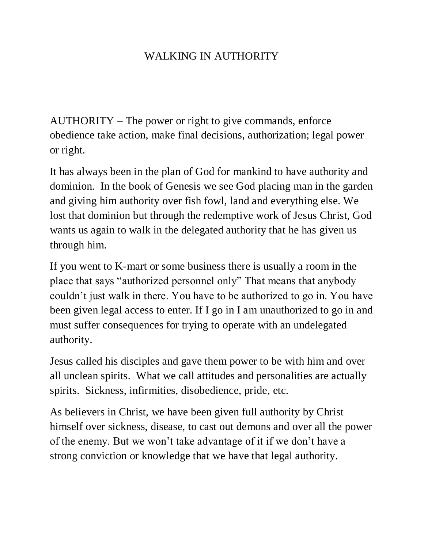## WALKING IN AUTHORITY

AUTHORITY – The power or right to give commands, enforce obedience take action, make final decisions, authorization; legal power or right.

It has always been in the plan of God for mankind to have authority and dominion. In the book of Genesis we see God placing man in the garden and giving him authority over fish fowl, land and everything else. We lost that dominion but through the redemptive work of Jesus Christ, God wants us again to walk in the delegated authority that he has given us through him.

If you went to K-mart or some business there is usually a room in the place that says "authorized personnel only" That means that anybody couldn't just walk in there. You have to be authorized to go in. You have been given legal access to enter. If I go in I am unauthorized to go in and must suffer consequences for trying to operate with an undelegated authority.

Jesus called his disciples and gave them power to be with him and over all unclean spirits. What we call attitudes and personalities are actually spirits. Sickness, infirmities, disobedience, pride, etc.

As believers in Christ, we have been given full authority by Christ himself over sickness, disease, to cast out demons and over all the power of the enemy. But we won't take advantage of it if we don't have a strong conviction or knowledge that we have that legal authority.